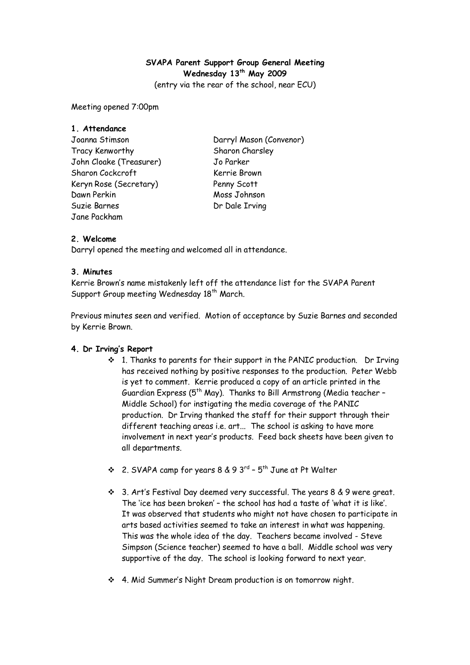# **SVAPA Parent Support Group General Meeting Wednesday 13th May 2009**

(entry via the rear of the school, near ECU)

Meeting opened 7:00pm

| 1. Attendance           |                         |
|-------------------------|-------------------------|
| Joanna Stimson          | Darryl Mason (Convenor) |
| Tracy Kenworthy         | Sharon Charsley         |
| John Cloake (Treasurer) | Jo Parker               |
| Sharon Cockcroft        | Kerrie Brown            |
| Keryn Rose (Secretary)  | Penny Scott             |
| Dawn Perkin             | Moss Johnson            |
| Suzie Barnes            | Dr Dale Irving          |
| Jane Packham            |                         |

## **2. Welcome**

Darryl opened the meeting and welcomed all in attendance.

## **3. Minutes**

Kerrie Brown's name mistakenly left off the attendance list for the SVAPA Parent Support Group meeting Wednesday 18<sup>th</sup> March.

Previous minutes seen and verified. Motion of acceptance by Suzie Barnes and seconded by Kerrie Brown.

## **4. Dr Irving's Report**

- 1. Thanks to parents for their support in the PANIC production. Dr Irving has received nothing by positive responses to the production. Peter Webb is yet to comment. Kerrie produced a copy of an article printed in the Guardian Express ( $5<sup>th</sup>$  May). Thanks to Bill Armstrong (Media teacher -Middle School) for instigating the media coverage of the PANIC production. Dr Irving thanked the staff for their support through their different teaching areas i.e. art... The school is asking to have more involvement in next year's products. Feed back sheets have been given to all departments.
- $\div$  2. SVAPA camp for years 8 & 9 3<sup>rd</sup> 5<sup>th</sup> June at Pt Walter
- 3. Art's Festival Day deemed very successful. The years 8 & 9 were great. The 'ice has been broken' – the school has had a taste of 'what it is like'. It was observed that students who might not have chosen to participate in arts based activities seemed to take an interest in what was happening. This was the whole idea of the day. Teachers became involved - Steve Simpson (Science teacher) seemed to have a ball. Middle school was very supportive of the day. The school is looking forward to next year.
- 4. Mid Summer's Night Dream production is on tomorrow night.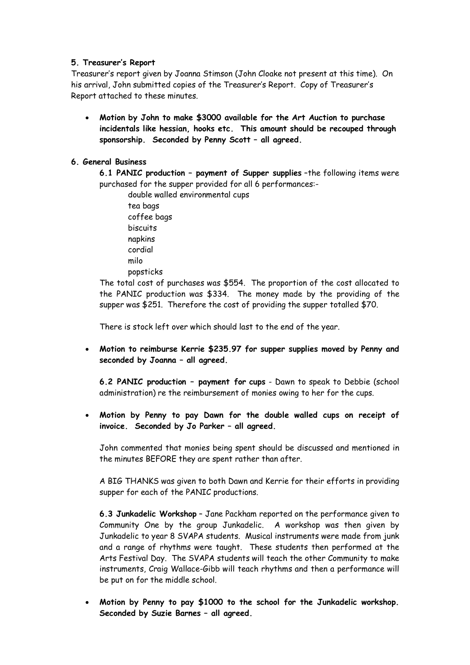## **5. Treasurer's Report**

Treasurer's report given by Joanna Stimson (John Cloake not present at this time). On his arrival, John submitted copies of the Treasurer's Report. Copy of Treasurer's Report attached to these minutes.

• **Motion by John to make \$3000 available for the Art Auction to purchase incidentals like hessian, hooks etc. This amount should be recouped through sponsorship. Seconded by Penny Scott – all agreed.** 

#### **6. General Business**

**6.1 PANIC production – payment of Supper supplies** –the following items were purchased for the supper provided for all 6 performances:-

double walled environmental cups tea bags coffee bags biscuits napkins cordial milo popsticks

The total cost of purchases was \$554. The proportion of the cost allocated to the PANIC production was \$334. The money made by the providing of the supper was \$251. Therefore the cost of providing the supper totalled \$70.

There is stock left over which should last to the end of the year.

• **Motion to reimburse Kerrie \$235.97 for supper supplies moved by Penny and seconded by Joanna – all agreed.** 

**6.2 PANIC production – payment for cups** - Dawn to speak to Debbie (school administration) re the reimbursement of monies owing to her for the cups.

• **Motion by Penny to pay Dawn for the double walled cups on receipt of invoice. Seconded by Jo Parker – all agreed.** 

John commented that monies being spent should be discussed and mentioned in the minutes BEFORE they are spent rather than after.

A BIG THANKS was given to both Dawn and Kerrie for their efforts in providing supper for each of the PANIC productions.

**6.3 Junkadelic Workshop** – Jane Packham reported on the performance given to Community One by the group Junkadelic. A workshop was then given by Junkadelic to year 8 SVAPA students. Musical instruments were made from junk and a range of rhythms were taught. These students then performed at the Arts Festival Day. The SVAPA students will teach the other Community to make instruments, Craig Wallace-Gibb will teach rhythms and then a performance will be put on for the middle school.

• **Motion by Penny to pay \$1000 to the school for the Junkadelic workshop. Seconded by Suzie Barnes – all agreed.**